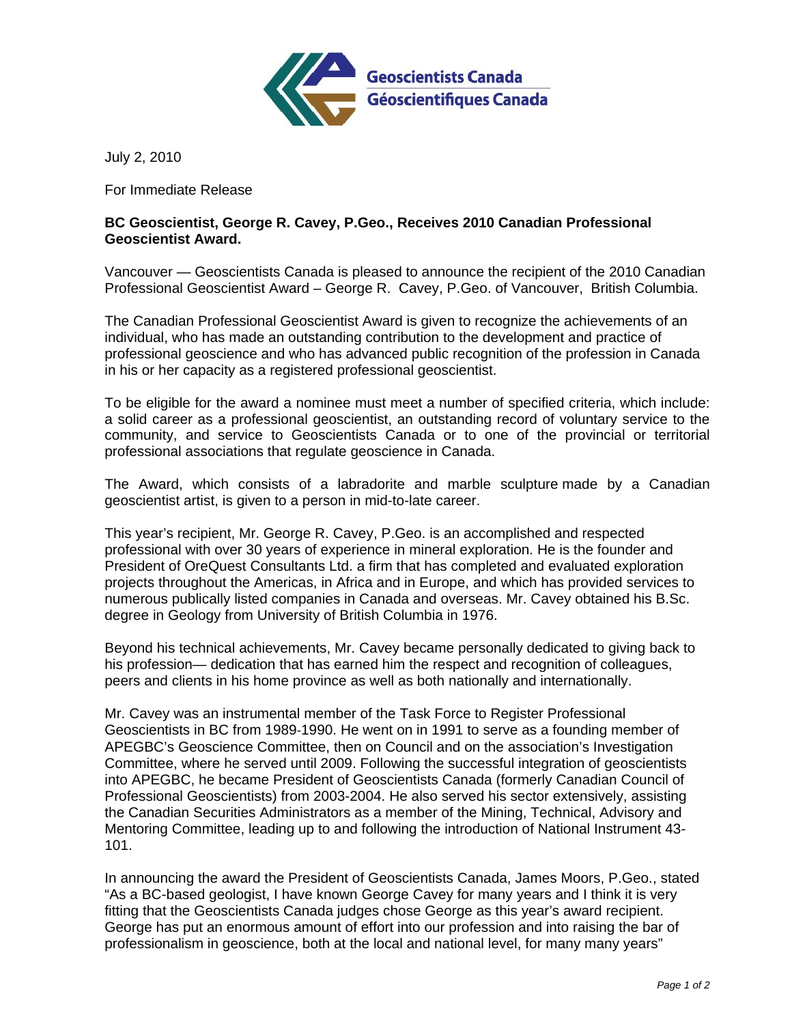

July 2, 2010

For Immediate Release

## **BC Geoscientist, George R. Cavey, P.Geo., Receives 2010 Canadian Professional Geoscientist Award.**

Vancouver — Geoscientists Canada is pleased to announce the recipient of the 2010 Canadian Professional Geoscientist Award – George R. Cavey, P.Geo. of Vancouver, British Columbia.

The Canadian Professional Geoscientist Award is given to recognize the achievements of an individual, who has made an outstanding contribution to the development and practice of professional geoscience and who has advanced public recognition of the profession in Canada in his or her capacity as a registered professional geoscientist.

To be eligible for the award a nominee must meet a number of specified criteria, which include: a solid career as a professional geoscientist, an outstanding record of voluntary service to the community, and service to Geoscientists Canada or to one of the provincial or territorial professional associations that regulate geoscience in Canada.

The Award, which consists of a labradorite and marble sculpture made by a Canadian geoscientist artist, is given to a person in mid-to-late career.

This year's recipient, Mr. George R. Cavey, P.Geo. is an accomplished and respected professional with over 30 years of experience in mineral exploration. He is the founder and President of OreQuest Consultants Ltd. a firm that has completed and evaluated exploration projects throughout the Americas, in Africa and in Europe, and which has provided services to numerous publically listed companies in Canada and overseas. Mr. Cavey obtained his B.Sc. degree in Geology from University of British Columbia in 1976.

Beyond his technical achievements, Mr. Cavey became personally dedicated to giving back to his profession— dedication that has earned him the respect and recognition of colleagues, peers and clients in his home province as well as both nationally and internationally.

Mr. Cavey was an instrumental member of the Task Force to Register Professional Geoscientists in BC from 1989‐1990. He went on in 1991 to serve as a founding member of APEGBC's Geoscience Committee, then on Council and on the association's Investigation Committee, where he served until 2009. Following the successful integration of geoscientists into APEGBC, he became President of Geoscientists Canada (formerly Canadian Council of Professional Geoscientists) from 2003-2004. He also served his sector extensively, assisting the Canadian Securities Administrators as a member of the Mining, Technical, Advisory and Mentoring Committee, leading up to and following the introduction of National Instrument 43- 101.

In announcing the award the President of Geoscientists Canada, James Moors, P.Geo., stated "As a BC-based geologist, I have known George Cavey for many years and I think it is very fitting that the Geoscientists Canada judges chose George as this year's award recipient. George has put an enormous amount of effort into our profession and into raising the bar of professionalism in geoscience, both at the local and national level, for many many years"